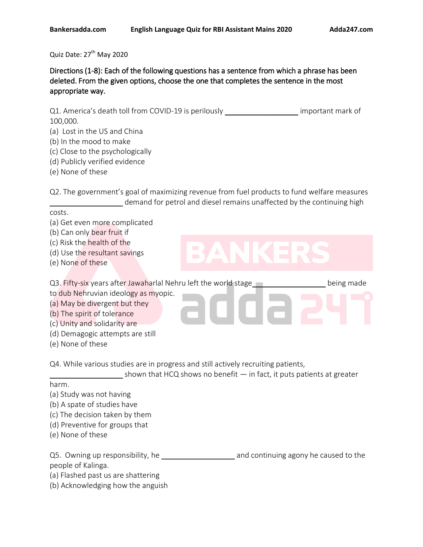Quiz Date: 27<sup>th</sup> May 2020

Directions (1-8): Each of the following questions has a sentence from which a phrase has been deleted. From the given options, choose the one that completes the sentence in the most appropriate way.

Q1. America's death toll from COVID-19 is perilously \_\_\_\_\_\_\_\_\_\_\_\_\_\_\_\_\_\_\_\_\_ important mark of 100,000.

- (a) Lost in the US and China
- (b) In the mood to make
- (c) Close to the psychologically
- (d) Publicly verified evidence
- (e) None of these

Q2. The government's goal of maximizing revenue from fuel products to fund welfare measures demand for petrol and diesel remains unaffected by the continuing high

### costs.

(a) Get even more complicated

(b) Can only bear fruit if

(c) Risk the health of the

- (d) Use the resultant savings
- (e) None of these

Q3. Fifty-six years after Jawaharlal Nehru left the world stage\_\_\_\_\_\_\_\_\_\_\_\_\_\_\_\_\_\_ being made to dub Nehruvian ideology as myopic.

(a) May be divergent but they

- (b) The spirit of tolerance
- (c) Unity and solidarity are
- (d) Demagogic attempts are still
- (e) None of these

Q4. While various studies are in progress and still actively recruiting patients,

shown that HCQ shows no benefit  $-$  in fact, it puts patients at greater

### harm.

- (a) Study was not having
- (b) A spate of studies have
- (c) The decision taken by them
- (d) Preventive for groups that
- (e) None of these

| Q5. Owning up responsibility, he | and continuing agony he caused to the |
|----------------------------------|---------------------------------------|
| people of Kalinga.               |                                       |

- (a) Flashed past us are shattering
- (b) Acknowledging how the anguish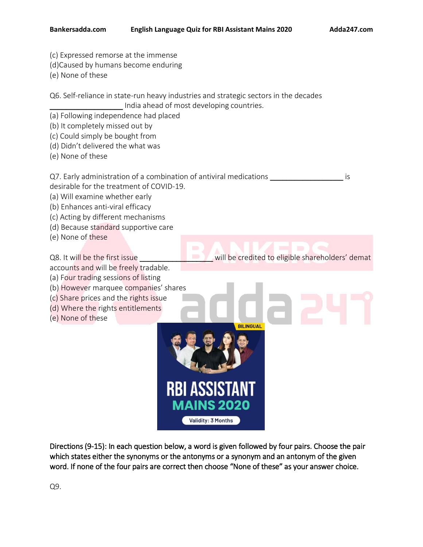- (c) Expressed remorse at the immense
- (d)Caused by humans become enduring
- (e) None of these

Q6. Self-reliance in state-run heavy industries and strategic sectors in the decades India ahead of most developing countries.

- (a) Following independence had placed
- (b) It completely missed out by
- (c) Could simply be bought from
- (d) Didn't delivered the what was
- (e) None of these

Q7. Early administration of a combination of antiviral medications \_\_\_\_\_\_\_\_\_\_\_\_\_\_\_\_\_\_\_\_\_ is desirable for the treatment of COVID-19.

- (a) Will examine whether early
- (b) Enhances anti-viral efficacy
- (c) Acting by different mechanisms
- (d) Because standard supportive care
- (e) None of these

Q8. It will be the first issue **the contact of the credited to eligible shareholders' demat** 

**BILINGUAL** 

- accounts and will be freely tradable.
- (a) Four trading sessions of listing
- (b) However marquee companies' shares
- (c) Share prices and the rights issue
- (d) Where the rights entitlements
- (e) None of these

Directions (9-15): In each question below, a word is given followed by four pairs. Choose the pair which states either the synonyms or the antonyms or a synonym and an antonym of the given word. If none of the four pairs are correct then choose "None of these" as your answer choice.

**MAINS 2020** 

**Validity: 3 Months** 

**RBI ASSIST**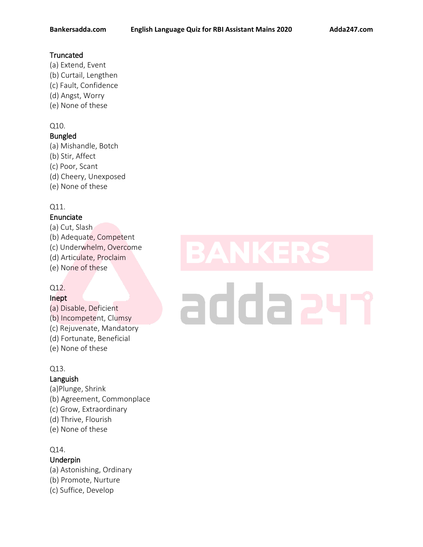# **Truncated**

(a) Extend, Event (b) Curtail, Lengthen (c) Fault, Confidence (d) Angst, Worry (e) None of these

## Q10.

# Bungled

(a) Mishandle, Botch (b) Stir, Affect (c) Poor, Scant (d) Cheery, Unexposed (e) None of these

# Q11.

### Enunciate

(a) Cut, Slash (b) Adequate, Competent (c) Underwhelm, Overcome (d) Articulate, Proclaim (e) None of these

# Q12.

### Inept

- (a) Disable, Deficient (b) Incompetent, Clumsy (c) Rejuvenate, Mandatory (d) Fortunate, Beneficial
- (e) None of these

### Q13.

### Languish

(a)Plunge, Shrink (b) Agreement, Commonplace (c) Grow, Extraordinary (d) Thrive, Flourish (e) None of these

### Q14.

# Underpin

(a) Astonishing, Ordinary (b) Promote, Nurture (c) Suffice, Develop

# addaa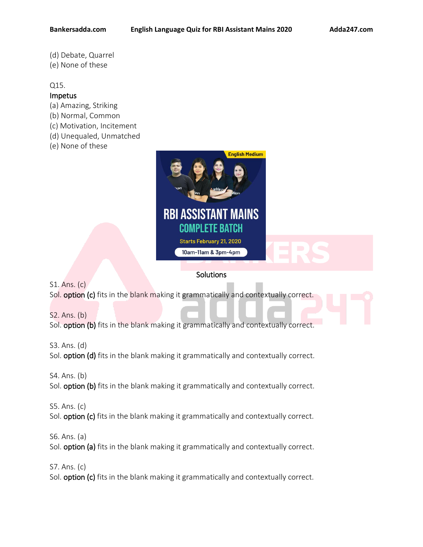- (d) Debate, Quarrel
- (e) None of these

### Q15.

### Impetus

- (a) Amazing, Striking
- (b) Normal, Common
- (c) Motivation, Incitement
- (d) Unequaled, Unmatched
- (e) None of these



# **Solutions**

S1. Ans. (c) Sol. option (c) fits in the blank making it grammatically and contextually correct.

S2. Ans. (b) Sol. option (b) fits in the blank making it grammatically and contextually correct.

S3. Ans. (d) Sol. **option (d)** fits in the blank making it grammatically and contextually correct.

S4. Ans. (b)

Sol. option (b) fits in the blank making it grammatically and contextually correct.

S5. Ans. (c) Sol. option (c) fits in the blank making it grammatically and contextually correct.

S6. Ans. (a)

Sol. **option (a)** fits in the blank making it grammatically and contextually correct.

S7. Ans. (c)

Sol. **option (c)** fits in the blank making it grammatically and contextually correct.